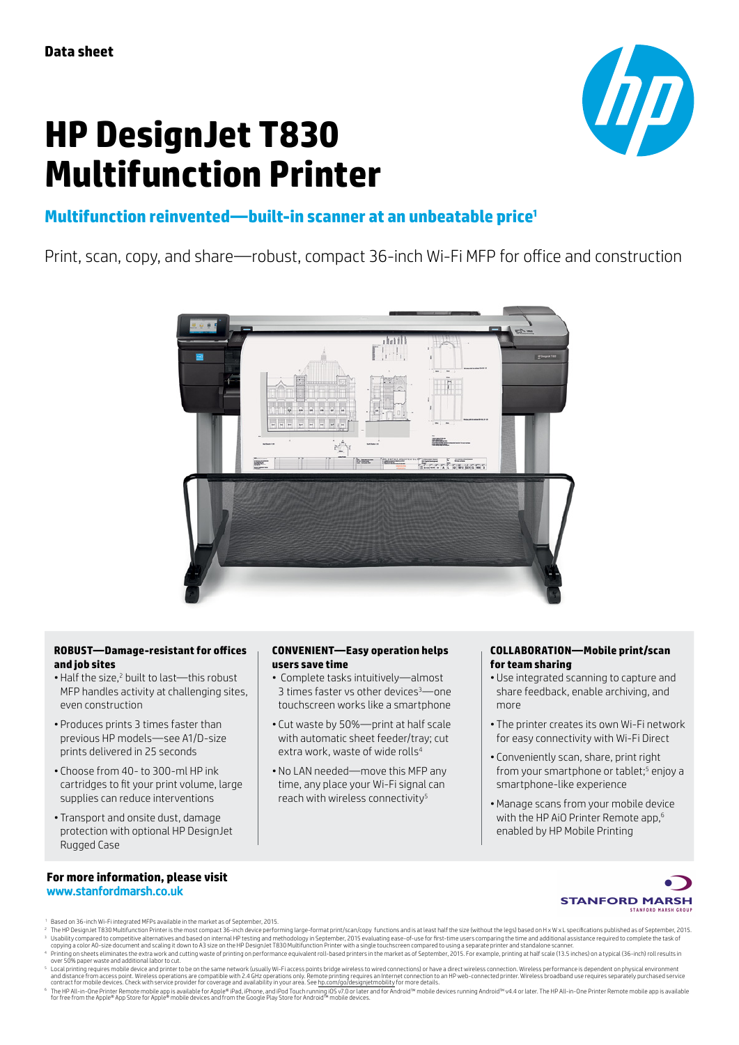# **HP DesignJet T830 Multifunction Printer**



# **Multifunction reinvented—built-in scanner at an unbeatable price<sup>1</sup>**

Print, scan, copy, and share—robust, compact 36-inch Wi-Fi MFP for office and construction



# **ROBUST—Damage-resistant for offices and job sites**

- Half the size,<sup>2</sup> built to last—this robust MFP handles activity at challenging sites, even construction
- Produces prints 3 times faster than previous HP models—see A1/D-size prints delivered in 25 seconds
- Choose from 40- to 300-ml HP ink cartridges to fit your print volume, large supplies can reduce interventions
- Transport and onsite dust, damage protection with optional HP DesignJet Rugged Case

# **For more information, please visit** [www.stanfordmarsh.co.uk](http://www.stanfordmarsh.co.uk/plotters)

# **CONVENIENT—Easy operation helps users save time**

- Complete tasks intuitively—almost 3 times faster vs other devices<sup>3</sup>-one touchscreen works like a smartphone
- Cut waste by 50%—print at half scale with automatic sheet feeder/tray; cut extra work, waste of wide rolls<sup>4</sup>
- No LAN needed—move this MFP any time, any place your Wi-Fi signal can reach with wireless connectivity5

# **COLLABORATION—Mobile print/scan for team sharing**

- Use integrated scanning to capture and share feedback, enable archiving, and more
- The printer creates its own Wi-Fi network for easy connectivity with Wi-Fi Direct
- Conveniently scan, share, print right from your smartphone or tablet;<sup>5</sup> enjoy a smartphone-like experience
- •Manage scans from your mobile device with the HP AiO Printer Remote app,<sup>6</sup> enabled by HP Mobile Printing



- <sup>1</sup> Based on 36-inch Wi-Fi integrated MFPs available in the market as of September, 2015.
- ous convert in the Design of Table Hammed in Printer's the most compact 36-inch device performing large-format print/scan/copy functions and is at least half the size (without the legs) based on H x W x L specifications p
- 3 Usability compared to competitive alternatives and based on internal HP testing and methodology in September, 2015 evaluating ease-of-use for first-time users comparing the time and additional assistance required to comp
- copying a color A0-size document and scaling it down to A3 size on the HP Design.let T830 Multifunction Printer with a single touchscreen compared to using a separate printer and standalone scanner.<br>"Printing on sheets eli
- © The HP All-in-One Printer Remote mobile app is available for Apple® iPhone, and iPod, lownling of Ds V.7.0 or later and for Android™ mobile devices running Android™ vt.4 or later. The HP All-in-One Printer Remote mobile